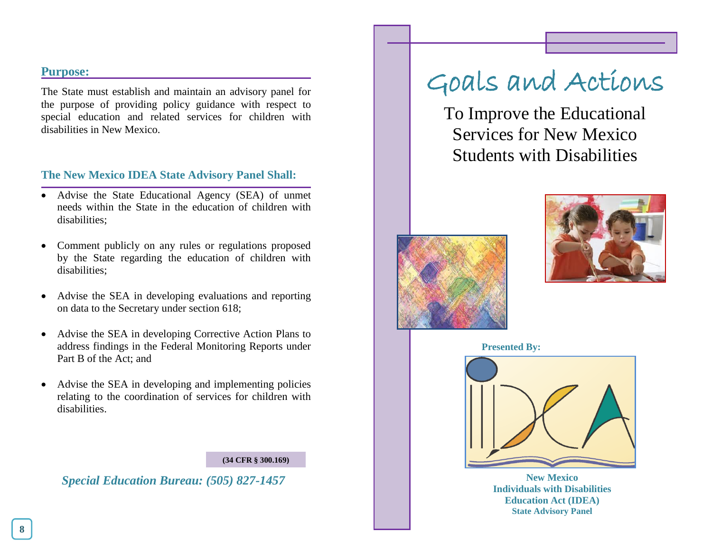#### **Purpose:**

The State must establish and maintain an advisory panel for the purpose of providing policy guidance with respect to special education and related services for children with disabilities in New Mexico.

#### **The New Mexico IDEA State Advisory Panel Shall:**

- Advise the State Educational Agency (SEA) of unmet needs within the State in the education of children with disabilities;
- Comment publicly on any rules or regulations proposed by the State regarding the education of children with disabilities;
- Advise the SEA in developing evaluations and reporting on data to the Secretary under section 618;
- Advise the SEA in developing Corrective Action Plans to address findings in the Federal Monitoring Reports under Part B of the Act; and
- Advise the SEA in developing and implementing policies relating to the coordination of services for children with disabilities.

#### **(34 CFR § 300.169)**

*Special Education Bureau: (505) 827-1457*

# Goals and Actions

To Improve the Educational Services for New Mexico Students with Disabilities





**Presented By:**



**New Mexico Individuals with Disabilities Education Act (IDEA) State Advisory Panel**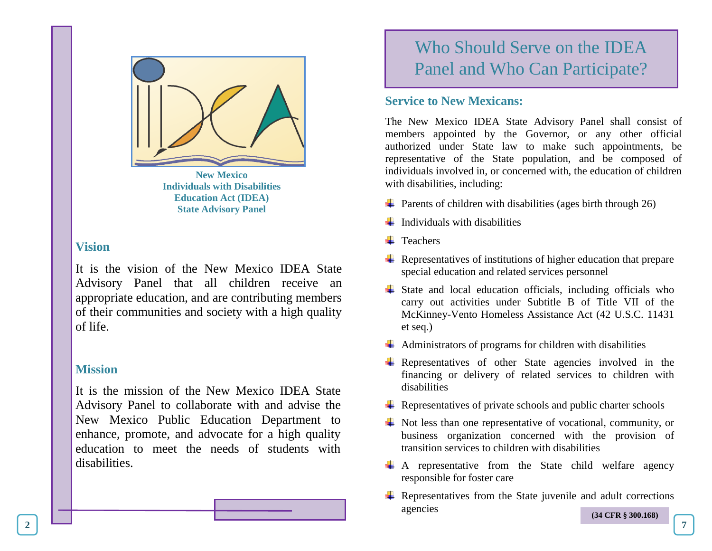

**New Mexico Individuals with Disabilities Education Act (IDEA) State Advisory Panel**

#### **Vision**

It is the vision of the New Mexico IDEA State Advisory Panel that all children receive an appropriate education, and are contributing members of their communities and society with a high quality of life.

#### **Mission**

It is the mission of the New Mexico IDEA State Advisory Panel to collaborate with and advise the New Mexico Public Education Department to enhance, promote, and advocate for a high quality education to meet the needs of students with disabilities.

## Who Should Serve on the IDEA Panel and Who Can Participate?

#### **Service to New Mexicans:**

The New Mexico IDEA State Advisory Panel shall consist of members appointed by the Governor, or any other official authorized under State law to make such appointments, be representative of the State population, and be composed of individuals involved in, or concerned with, the education of children with disabilities, including:

- $\overline{\phantom{a} \overline{\phantom{a}}}$  Parents of children with disabilities (ages birth through 26)
- $\ddot{\phantom{a}}$  Individuals with disabilities
- $\blacksquare$  Teachers
- $\overline{\phantom{a} \bullet}$  Representatives of institutions of higher education that prepare special education and related services personnel
- $\overline{\phantom{a}}$  State and local education officials, including officials who carry out activities under Subtitle B of Title VII of the McKinney-Vento Homeless Assistance Act (42 U.S.C. 11431 et seq.)
- $\overline{\mathbf{A}}$  Administrators of programs for children with disabilities
- $\overline{\text{L}}$  Representatives of other State agencies involved in the financing or delivery of related services to children with disabilities
- $\overline{\phantom{a}}$  Representatives of private schools and public charter schools
- Not less than one representative of vocational, community, or business organization concerned with the provision of transition services to children with disabilities
- $\overline{+}$  A representative from the State child welfare agency responsible for foster care
- $\overline{\text{L}}$  Representatives from the State juvenile and adult corrections agencies **(34 CFR § 300.168)**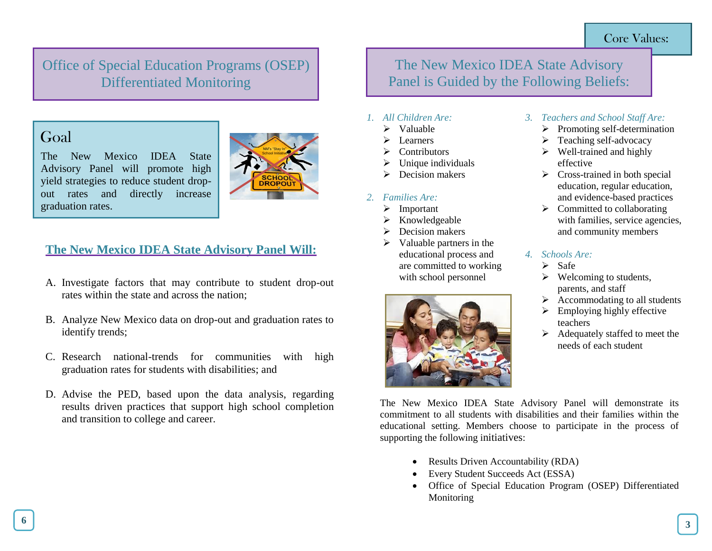## Office of Special Education Programs (OSEP) Differentiated Monitoring

## Goal

The New Mexico IDEA State Advisory Panel will promote high yield strategies to reduce student dropout rates and directly increase graduation rates.



### **The New Mexico IDEA State Advisory Panel Will:**

- A. Investigate factors that may contribute to student drop-out rates within the state and across the nation;
- B. Analyze New Mexico data on drop-out and graduation rates to identify trends;
- C. Research national-trends for communities with high graduation rates for students with disabilities; and
- D. Advise the PED, based upon the data analysis, regarding results driven practices that support high school completion and transition to college and career.

The New Mexico IDEA State Advisory Panel is Guided by the Following Beliefs:

#### *1. All Children Are:*

- $\triangleright$  Valuable
- Learners
- **Contributors**
- Unique individuals
- $\triangleright$  Decision makers

#### *2. Families Are:*

- $\triangleright$  Important
- Knowledgeable
- Decision makers
- Valuable partners in the educational process and are committed to working with school personnel



#### *3. Teachers and School Staff Are:*

- $\triangleright$  Promoting self-determination
- $\triangleright$  Teaching self-advocacy
- $\triangleright$  Well-trained and highly effective
- $\triangleright$  Cross-trained in both special education, regular education, and evidence-based practices
- $\triangleright$  Committed to collaborating with families, service agencies, and community members

#### *4. Schools Are:*

- $\triangleright$  Safe
- $\triangleright$  Welcoming to students, parents, and staff
- $\triangleright$  Accommodating to all students
- $\triangleright$  Employing highly effective teachers
- $\triangleright$  Adequately staffed to meet the needs of each student

The New Mexico IDEA State Advisory Panel will demonstrate its commitment to all students with disabilities and their families within the educational setting. Members choose to participate in the process of supporting the following initiatives:

- Results Driven Accountability (RDA)
- Every Student Succeeds Act (ESSA)
- Office of Special Education Program (OSEP) Differentiated Monitoring